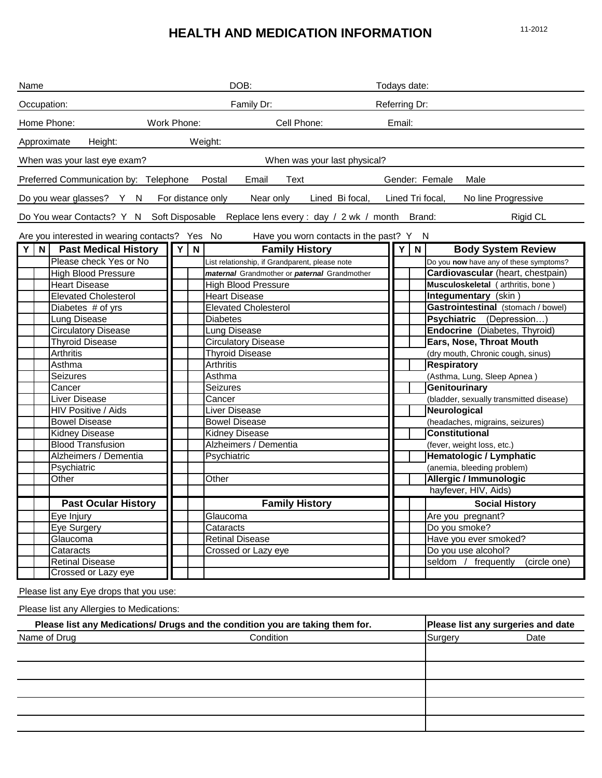# **HEALTH AND MEDICATION INFORMATION** 11-2012

| Name                                                                          |                                                                                          |             |                            |   | DOB:                               |                                                                  |                          | Todays date:                    |   |                                         |
|-------------------------------------------------------------------------------|------------------------------------------------------------------------------------------|-------------|----------------------------|---|------------------------------------|------------------------------------------------------------------|--------------------------|---------------------------------|---|-----------------------------------------|
| Occupation:                                                                   |                                                                                          | Family Dr:  |                            |   |                                    | Referring Dr:                                                    |                          |                                 |   |                                         |
| Home Phone:                                                                   |                                                                                          | Work Phone: |                            |   |                                    | Cell Phone:                                                      |                          | Email:                          |   |                                         |
| Approximate                                                                   | Height:                                                                                  |             |                            |   | Weight:                            |                                                                  |                          |                                 |   |                                         |
|                                                                               | When was your last eye exam?                                                             |             |                            |   |                                    | When was your last physical?                                     |                          |                                 |   |                                         |
|                                                                               | Preferred Communication by: Telephone                                                    |             |                            |   | Postal<br>Email                    | Text                                                             |                          |                                 |   | Gender: Female<br>Male                  |
|                                                                               | Do you wear glasses? Y N                                                                 |             |                            |   | For distance only<br>Near only     | Lined Bi focal,                                                  |                          |                                 |   | Lined Tri focal,<br>No line Progressive |
|                                                                               | Do You wear Contacts? Y N Soft Disposable Replace lens every : day / 2 wk / month Brand: |             |                            |   |                                    |                                                                  |                          |                                 |   | <b>Rigid CL</b>                         |
|                                                                               |                                                                                          |             |                            |   |                                    |                                                                  |                          |                                 |   |                                         |
| YN                                                                            | Are you interested in wearing contacts? Yes No<br><b>Past Medical History</b>            |             | Y                          | N |                                    | Have you worn contacts in the past? Y N<br><b>Family History</b> |                          | Υl                              | N | <b>Body System Review</b>               |
|                                                                               |                                                                                          |             |                            |   |                                    |                                                                  |                          |                                 |   |                                         |
|                                                                               | Please check Yes or No                                                                   |             |                            |   |                                    | List relationship, if Grandparent, please note                   |                          |                                 |   | Do you now have any of these symptoms?  |
|                                                                               | <b>High Blood Pressure</b>                                                               |             |                            |   |                                    | maternal Grandmother or paternal Grandmother                     |                          |                                 |   | Cardiovascular (heart, chestpain)       |
|                                                                               | <b>Heart Disease</b>                                                                     |             |                            |   | <b>High Blood Pressure</b>         |                                                                  |                          |                                 |   | Musculoskeletal (arthritis, bone)       |
|                                                                               | <b>Elevated Cholesterol</b>                                                              |             |                            |   | <b>Heart Disease</b>               |                                                                  |                          |                                 |   | Integumentary (skin)                    |
|                                                                               | Diabetes # of yrs                                                                        |             |                            |   |                                    | <b>Elevated Cholesterol</b>                                      |                          |                                 |   | Gastrointestinal (stomach / bowel)      |
|                                                                               | Lung Disease                                                                             |             |                            |   | <b>Diabetes</b>                    |                                                                  |                          |                                 |   | Psychiatric (Depression)                |
|                                                                               | <b>Circulatory Disease</b>                                                               |             |                            |   | Lung Disease                       |                                                                  |                          |                                 |   | Endocrine (Diabetes, Thyroid)           |
|                                                                               | <b>Thyroid Disease</b>                                                                   |             | <b>Circulatory Disease</b> |   |                                    |                                                                  | Ears, Nose, Throat Mouth |                                 |   |                                         |
|                                                                               | Arthritis                                                                                |             |                            |   | <b>Thyroid Disease</b>             |                                                                  |                          |                                 |   | (dry mouth, Chronic cough, sinus)       |
|                                                                               | Asthma                                                                                   |             |                            |   | <b>Arthritis</b>                   |                                                                  |                          |                                 |   | <b>Respiratory</b>                      |
|                                                                               | Seizures                                                                                 |             |                            |   | Asthma                             |                                                                  |                          |                                 |   | (Asthma, Lung, Sleep Apnea)             |
|                                                                               | Cancer                                                                                   |             |                            |   | <b>Seizures</b>                    |                                                                  |                          |                                 |   | <b>Genitourinary</b>                    |
|                                                                               | Liver Disease                                                                            |             |                            |   | Cancer                             |                                                                  |                          |                                 |   | (bladder, sexually transmitted disease) |
| <b>HIV Positive / Aids</b>                                                    |                                                                                          |             | Liver Disease              |   |                                    |                                                                  |                          | Neurological                    |   |                                         |
| <b>Bowel Disease</b>                                                          |                                                                                          |             | <b>Bowel Disease</b>       |   |                                    |                                                                  |                          | (headaches, migrains, seizures) |   |                                         |
|                                                                               | <b>Kidney Disease</b>                                                                    |             |                            |   | <b>Kidney Disease</b>              |                                                                  |                          |                                 |   | <b>Constitutional</b>                   |
|                                                                               | <b>Blood Transfusion</b>                                                                 |             |                            |   | Alzheimers / Dementia              |                                                                  |                          |                                 |   | (fever, weight loss, etc.)              |
|                                                                               | Alzheimers / Dementia                                                                    |             |                            |   | Psychiatric                        |                                                                  |                          |                                 |   | Hematologic / Lymphatic                 |
|                                                                               | Psychiatric                                                                              |             |                            |   |                                    |                                                                  |                          |                                 |   | (anemia, bleeding problem)              |
|                                                                               | Other                                                                                    |             |                            |   | Other                              |                                                                  |                          |                                 |   | Allergic / Immunologic                  |
|                                                                               |                                                                                          |             |                            |   |                                    |                                                                  |                          |                                 |   | hayfever, HIV, Aids)                    |
|                                                                               | <b>Past Ocular History</b>                                                               |             |                            |   |                                    | <b>Family History</b>                                            |                          |                                 |   | <b>Social History</b>                   |
|                                                                               | Eye Injury                                                                               |             |                            |   | Glaucoma                           |                                                                  |                          |                                 |   | Are you pregnant?                       |
|                                                                               | Eye Surgery                                                                              |             |                            |   | Cataracts                          |                                                                  |                          |                                 |   | Do you smoke?                           |
|                                                                               | Glaucoma                                                                                 |             |                            |   | Retinal Disease                    |                                                                  |                          |                                 |   | Have you ever smoked?                   |
|                                                                               | Cataracts                                                                                |             |                            |   | Crossed or Lazy eye                |                                                                  |                          |                                 |   | Do you use alcohol?                     |
|                                                                               | <b>Retinal Disease</b>                                                                   |             |                            |   |                                    |                                                                  |                          |                                 |   | seldom /<br>frequently<br>(circle one)  |
|                                                                               | Crossed or Lazy eye                                                                      |             |                            |   |                                    |                                                                  |                          |                                 |   |                                         |
|                                                                               | Please list any Eye drops that you use:                                                  |             |                            |   |                                    |                                                                  |                          |                                 |   |                                         |
|                                                                               | Please list any Allergies to Medications:                                                |             |                            |   |                                    |                                                                  |                          |                                 |   |                                         |
| Please list any Medications/ Drugs and the condition you are taking them for. |                                                                                          |             |                            |   | Please list any surgeries and date |                                                                  |                          |                                 |   |                                         |
|                                                                               |                                                                                          |             |                            |   |                                    |                                                                  |                          |                                 |   |                                         |

| Name of Drug | Condition | Surgery | Date |
|--------------|-----------|---------|------|
|              |           |         |      |
|              |           |         |      |
|              |           |         |      |
|              |           |         |      |
|              |           |         |      |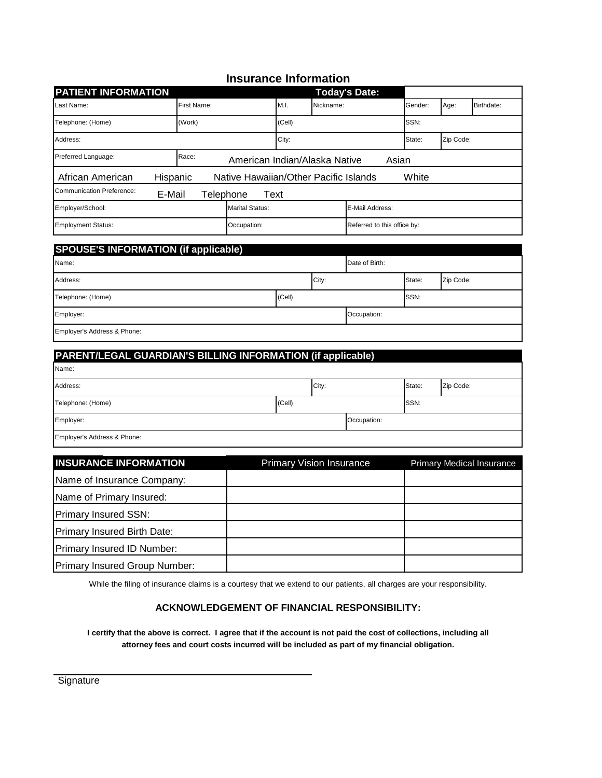## **Insurance Information**

| <b>PATIENT INFORMATION</b>                               |                               |                                       |        |                             | <b>Today's Date:</b> |         |           |            |
|----------------------------------------------------------|-------------------------------|---------------------------------------|--------|-----------------------------|----------------------|---------|-----------|------------|
| Last Name:                                               | First Name:                   |                                       | M.I.   | Nickname:                   |                      | Gender: | Age:      | Birthdate: |
| Telephone: (Home)                                        | (Work)                        |                                       | (Cell) |                             |                      | SSN:    |           |            |
| Address:                                                 |                               |                                       | City:  |                             |                      | State:  | Zip Code: |            |
| Preferred Language:                                      | American Indian/Alaska Native |                                       |        | Asian                       |                      |         |           |            |
| African American<br>Hispanic                             |                               | Native Hawaiian/Other Pacific Islands |        |                             |                      | White   |           |            |
| Communication Preference:<br>E-Mail<br>Text<br>Telephone |                               |                                       |        |                             |                      |         |           |            |
| Employer/School:                                         | <b>Marital Status:</b>        |                                       |        | E-Mail Address:             |                      |         |           |            |
| <b>Employment Status:</b>                                | Occupation:                   |                                       |        | Referred to this office by: |                      |         |           |            |

| <b>SPOUSE'S INFORMATION (if applicable)</b> |        |       |                |        |           |  |  |  |
|---------------------------------------------|--------|-------|----------------|--------|-----------|--|--|--|
| Name:                                       |        |       | Date of Birth: |        |           |  |  |  |
| Address:                                    |        | City: |                | State: | Zip Code: |  |  |  |
| Telephone: (Home)                           | (Cell) |       |                | SSN:   |           |  |  |  |
| Employer:                                   |        |       | Occupation:    |        |           |  |  |  |
| Employer's Address & Phone:                 |        |       |                |        |           |  |  |  |

| PARENT/LEGAL GUARDIAN'S BILLING INFORMATION (if applicable) |        |       |             |        |           |  |  |
|-------------------------------------------------------------|--------|-------|-------------|--------|-----------|--|--|
| Name:                                                       |        |       |             |        |           |  |  |
| Address:                                                    |        | City: |             | State: | Zip Code: |  |  |
| Telephone: (Home)                                           | (Cell) |       |             | SSN:   |           |  |  |
| Employer:                                                   |        |       | Occupation: |        |           |  |  |
| Employer's Address & Phone:                                 |        |       |             |        |           |  |  |

| <b>INSURANCE INFORMATION</b>  | <b>Primary Vision Insurance</b> | <b>Primary Medical Insurance</b> |
|-------------------------------|---------------------------------|----------------------------------|
| Name of Insurance Company:    |                                 |                                  |
| Name of Primary Insured:      |                                 |                                  |
| Primary Insured SSN:          |                                 |                                  |
| Primary Insured Birth Date:   |                                 |                                  |
| Primary Insured ID Number:    |                                 |                                  |
| Primary Insured Group Number: |                                 |                                  |

While the filing of insurance claims is a courtesy that we extend to our patients, all charges are your responsibility.

#### **ACKNOWLEDGEMENT OF FINANCIAL RESPONSIBILITY:**

**I certify that the above is correct. I agree that if the account is not paid the cost of collections, including all attorney fees and court costs incurred will be included as part of my financial obligation.**

**Signature**